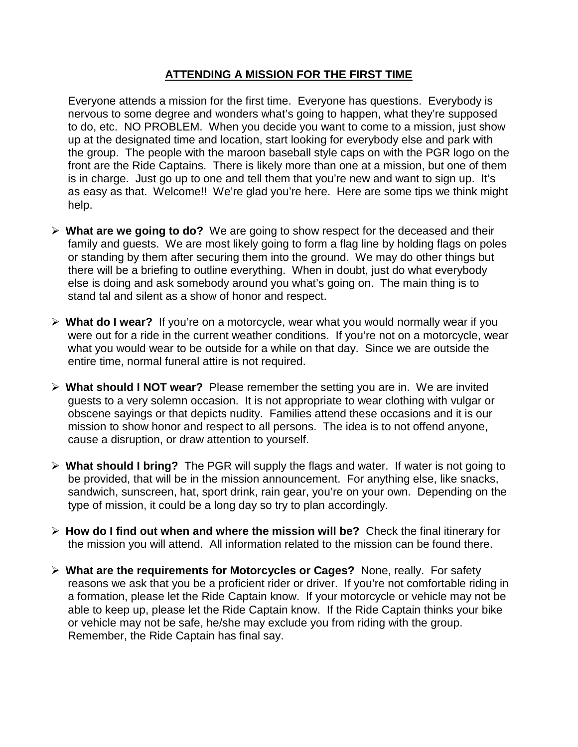### **ATTENDING A MISSION FOR THE FIRST TIME**

Everyone attends a mission for the first time. Everyone has questions. Everybody is nervous to some degree and wonders what's going to happen, what they're supposed to do, etc. NO PROBLEM. When you decide you want to come to a mission, just show up at the designated time and location, start looking for everybody else and park with the group. The people with the maroon baseball style caps on with the PGR logo on the front are the Ride Captains. There is likely more than one at a mission, but one of them is in charge. Just go up to one and tell them that you're new and want to sign up. It's as easy as that. Welcome!! We're glad you're here. Here are some tips we think might help.

- **What are we going to do?** We are going to show respect for the deceased and their family and guests. We are most likely going to form a flag line by holding flags on poles or standing by them after securing them into the ground. We may do other things but there will be a briefing to outline everything. When in doubt, just do what everybody else is doing and ask somebody around you what's going on. The main thing is to stand tal and silent as a show of honor and respect.
- **What do I wear?** If you're on a motorcycle, wear what you would normally wear if you were out for a ride in the current weather conditions. If you're not on a motorcycle, wear what you would wear to be outside for a while on that day. Since we are outside the entire time, normal funeral attire is not required.
- **What should I NOT wear?** Please remember the setting you are in. We are invited guests to a very solemn occasion. It is not appropriate to wear clothing with vulgar or obscene sayings or that depicts nudity. Families attend these occasions and it is our mission to show honor and respect to all persons. The idea is to not offend anyone, cause a disruption, or draw attention to yourself.
- **What should I bring?** The PGR will supply the flags and water. If water is not going to be provided, that will be in the mission announcement. For anything else, like snacks, sandwich, sunscreen, hat, sport drink, rain gear, you're on your own. Depending on the type of mission, it could be a long day so try to plan accordingly.
- **How do I find out when and where the mission will be?** Check the final itinerary for the mission you will attend. All information related to the mission can be found there.
- **What are the requirements for Motorcycles or Cages?** None, really. For safety reasons we ask that you be a proficient rider or driver. If you're not comfortable riding in a formation, please let the Ride Captain know. If your motorcycle or vehicle may not be able to keep up, please let the Ride Captain know. If the Ride Captain thinks your bike or vehicle may not be safe, he/she may exclude you from riding with the group. Remember, the Ride Captain has final say.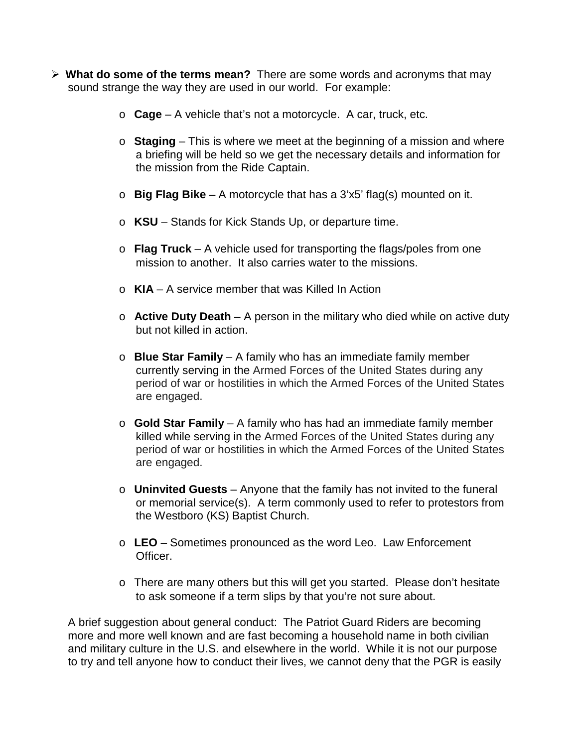- **What do some of the terms mean?** There are some words and acronyms that may sound strange the way they are used in our world. For example:
	- o **Cage** A vehicle that's not a motorcycle. A car, truck, etc.
	- o **Staging** This is where we meet at the beginning of a mission and where a briefing will be held so we get the necessary details and information for the mission from the Ride Captain.
	- o **Big Flag Bike** A motorcycle that has a 3'x5' flag(s) mounted on it.
	- o **KSU** Stands for Kick Stands Up, or departure time.
	- o **Flag Truck** A vehicle used for transporting the flags/poles from one mission to another. It also carries water to the missions.
	- o **KIA** A service member that was Killed In Action
	- o **Active Duty Death** A person in the military who died while on active duty but not killed in action.
	- o **Blue Star Family** A family who has an immediate family member currently serving in the Armed Forces of the United States during any period of war or hostilities in which the Armed Forces of the United States are engaged.
	- o **Gold Star Family** A family who has had an immediate family member killed while serving in the Armed Forces of the United States during any period of war or hostilities in which the Armed Forces of the United States are engaged.
	- o **Uninvited Guests** Anyone that the family has not invited to the funeral or memorial service(s). A term commonly used to refer to protestors from the Westboro (KS) Baptist Church.
	- o **LEO** Sometimes pronounced as the word Leo. Law Enforcement Officer.
	- $\circ$  There are many others but this will get you started. Please don't hesitate to ask someone if a term slips by that you're not sure about.

A brief suggestion about general conduct: The Patriot Guard Riders are becoming more and more well known and are fast becoming a household name in both civilian and military culture in the U.S. and elsewhere in the world. While it is not our purpose to try and tell anyone how to conduct their lives, we cannot deny that the PGR is easily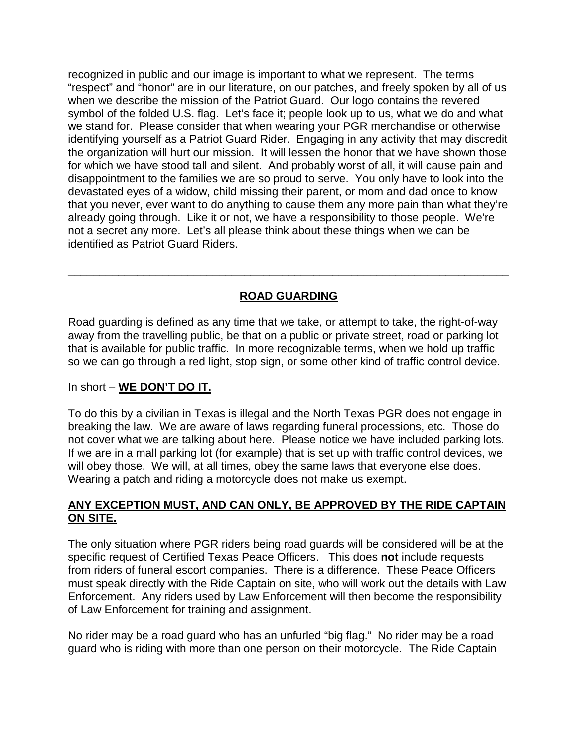recognized in public and our image is important to what we represent. The terms "respect" and "honor" are in our literature, on our patches, and freely spoken by all of us when we describe the mission of the Patriot Guard. Our logo contains the revered symbol of the folded U.S. flag. Let's face it; people look up to us, what we do and what we stand for. Please consider that when wearing your PGR merchandise or otherwise identifying yourself as a Patriot Guard Rider. Engaging in any activity that may discredit the organization will hurt our mission. It will lessen the honor that we have shown those for which we have stood tall and silent. And probably worst of all, it will cause pain and disappointment to the families we are so proud to serve. You only have to look into the devastated eyes of a widow, child missing their parent, or mom and dad once to know that you never, ever want to do anything to cause them any more pain than what they're already going through. Like it or not, we have a responsibility to those people. We're not a secret any more. Let's all please think about these things when we can be identified as Patriot Guard Riders.

# **ROAD GUARDING**

\_\_\_\_\_\_\_\_\_\_\_\_\_\_\_\_\_\_\_\_\_\_\_\_\_\_\_\_\_\_\_\_\_\_\_\_\_\_\_\_\_\_\_\_\_\_\_\_\_\_\_\_\_\_\_\_\_\_\_\_\_\_\_\_\_\_\_\_\_\_

Road guarding is defined as any time that we take, or attempt to take, the right-of-way away from the travelling public, be that on a public or private street, road or parking lot that is available for public traffic. In more recognizable terms, when we hold up traffic so we can go through a red light, stop sign, or some other kind of traffic control device.

## In short – **WE DON'T DO IT.**

To do this by a civilian in Texas is illegal and the North Texas PGR does not engage in breaking the law. We are aware of laws regarding funeral processions, etc. Those do not cover what we are talking about here. Please notice we have included parking lots. If we are in a mall parking lot (for example) that is set up with traffic control devices, we will obey those. We will, at all times, obey the same laws that everyone else does. Wearing a patch and riding a motorcycle does not make us exempt.

### **ANY EXCEPTION MUST, AND CAN ONLY, BE APPROVED BY THE RIDE CAPTAIN ON SITE.**

The only situation where PGR riders being road guards will be considered will be at the specific request of Certified Texas Peace Officers. This does **not** include requests from riders of funeral escort companies. There is a difference. These Peace Officers must speak directly with the Ride Captain on site, who will work out the details with Law Enforcement. Any riders used by Law Enforcement will then become the responsibility of Law Enforcement for training and assignment.

No rider may be a road guard who has an unfurled "big flag." No rider may be a road guard who is riding with more than one person on their motorcycle. The Ride Captain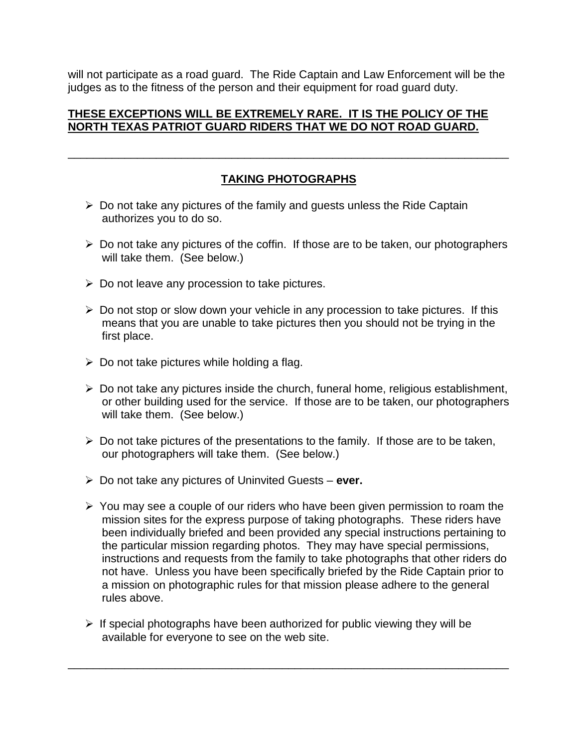will not participate as a road guard. The Ride Captain and Law Enforcement will be the judges as to the fitness of the person and their equipment for road guard duty.

#### **THESE EXCEPTIONS WILL BE EXTREMELY RARE. IT IS THE POLICY OF THE NORTH TEXAS PATRIOT GUARD RIDERS THAT WE DO NOT ROAD GUARD.**

# **TAKING PHOTOGRAPHS**

\_\_\_\_\_\_\_\_\_\_\_\_\_\_\_\_\_\_\_\_\_\_\_\_\_\_\_\_\_\_\_\_\_\_\_\_\_\_\_\_\_\_\_\_\_\_\_\_\_\_\_\_\_\_\_\_\_\_\_\_\_\_\_\_\_\_\_\_\_\_

- $\triangleright$  Do not take any pictures of the family and guests unless the Ride Captain authorizes you to do so.
- $\triangleright$  Do not take any pictures of the coffin. If those are to be taken, our photographers will take them. (See below.)
- $\triangleright$  Do not leave any procession to take pictures.
- $\triangleright$  Do not stop or slow down your vehicle in any procession to take pictures. If this means that you are unable to take pictures then you should not be trying in the first place.
- $\triangleright$  Do not take pictures while holding a flag.
- $\triangleright$  Do not take any pictures inside the church, funeral home, religious establishment, or other building used for the service. If those are to be taken, our photographers will take them. (See below.)
- $\triangleright$  Do not take pictures of the presentations to the family. If those are to be taken, our photographers will take them. (See below.)
- Do not take any pictures of Uninvited Guests **ever.**
- $\triangleright$  You may see a couple of our riders who have been given permission to roam the mission sites for the express purpose of taking photographs. These riders have been individually briefed and been provided any special instructions pertaining to the particular mission regarding photos. They may have special permissions, instructions and requests from the family to take photographs that other riders do not have. Unless you have been specifically briefed by the Ride Captain prior to a mission on photographic rules for that mission please adhere to the general rules above.
- $\triangleright$  If special photographs have been authorized for public viewing they will be available for everyone to see on the web site.

\_\_\_\_\_\_\_\_\_\_\_\_\_\_\_\_\_\_\_\_\_\_\_\_\_\_\_\_\_\_\_\_\_\_\_\_\_\_\_\_\_\_\_\_\_\_\_\_\_\_\_\_\_\_\_\_\_\_\_\_\_\_\_\_\_\_\_\_\_\_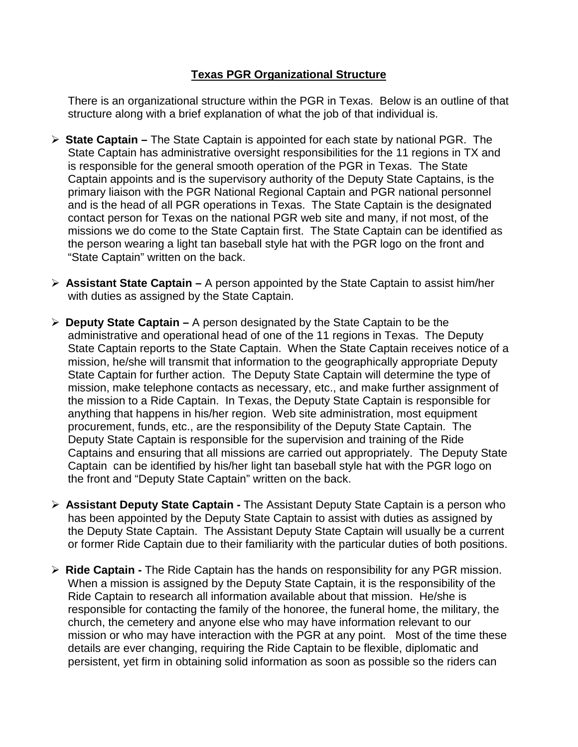### **Texas PGR Organizational Structure**

There is an organizational structure within the PGR in Texas. Below is an outline of that structure along with a brief explanation of what the job of that individual is.

- **State Captain –** The State Captain is appointed for each state by national PGR. The State Captain has administrative oversight responsibilities for the 11 regions in TX and is responsible for the general smooth operation of the PGR in Texas. The State Captain appoints and is the supervisory authority of the Deputy State Captains, is the primary liaison with the PGR National Regional Captain and PGR national personnel and is the head of all PGR operations in Texas. The State Captain is the designated contact person for Texas on the national PGR web site and many, if not most, of the missions we do come to the State Captain first. The State Captain can be identified as the person wearing a light tan baseball style hat with the PGR logo on the front and "State Captain" written on the back.
- **Assistant State Captain –** A person appointed by the State Captain to assist him/her with duties as assigned by the State Captain.
- **Deputy State Captain –** A person designated by the State Captain to be the administrative and operational head of one of the 11 regions in Texas. The Deputy State Captain reports to the State Captain. When the State Captain receives notice of a mission, he/she will transmit that information to the geographically appropriate Deputy State Captain for further action. The Deputy State Captain will determine the type of mission, make telephone contacts as necessary, etc., and make further assignment of the mission to a Ride Captain. In Texas, the Deputy State Captain is responsible for anything that happens in his/her region. Web site administration, most equipment procurement, funds, etc., are the responsibility of the Deputy State Captain. The Deputy State Captain is responsible for the supervision and training of the Ride Captains and ensuring that all missions are carried out appropriately. The Deputy State Captain can be identified by his/her light tan baseball style hat with the PGR logo on the front and "Deputy State Captain" written on the back.
- **Assistant Deputy State Captain -** The Assistant Deputy State Captain is a person who has been appointed by the Deputy State Captain to assist with duties as assigned by the Deputy State Captain. The Assistant Deputy State Captain will usually be a current or former Ride Captain due to their familiarity with the particular duties of both positions.
- **Ride Captain -** The Ride Captain has the hands on responsibility for any PGR mission. When a mission is assigned by the Deputy State Captain, it is the responsibility of the Ride Captain to research all information available about that mission. He/she is responsible for contacting the family of the honoree, the funeral home, the military, the church, the cemetery and anyone else who may have information relevant to our mission or who may have interaction with the PGR at any point. Most of the time these details are ever changing, requiring the Ride Captain to be flexible, diplomatic and persistent, yet firm in obtaining solid information as soon as possible so the riders can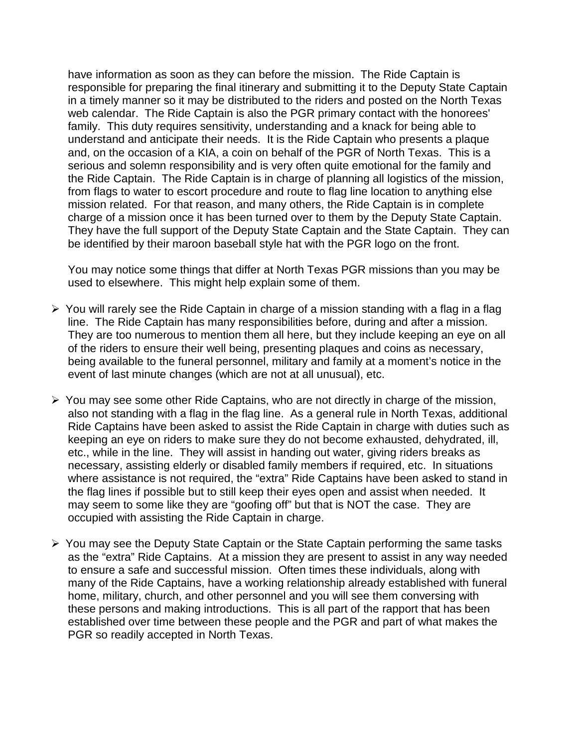have information as soon as they can before the mission. The Ride Captain is responsible for preparing the final itinerary and submitting it to the Deputy State Captain in a timely manner so it may be distributed to the riders and posted on the North Texas web calendar. The Ride Captain is also the PGR primary contact with the honorees' family. This duty requires sensitivity, understanding and a knack for being able to understand and anticipate their needs. It is the Ride Captain who presents a plaque and, on the occasion of a KIA, a coin on behalf of the PGR of North Texas. This is a serious and solemn responsibility and is very often quite emotional for the family and the Ride Captain. The Ride Captain is in charge of planning all logistics of the mission, from flags to water to escort procedure and route to flag line location to anything else mission related. For that reason, and many others, the Ride Captain is in complete charge of a mission once it has been turned over to them by the Deputy State Captain. They have the full support of the Deputy State Captain and the State Captain. They can be identified by their maroon baseball style hat with the PGR logo on the front.

You may notice some things that differ at North Texas PGR missions than you may be used to elsewhere. This might help explain some of them.

- $\triangleright$  You will rarely see the Ride Captain in charge of a mission standing with a flag in a flag line. The Ride Captain has many responsibilities before, during and after a mission. They are too numerous to mention them all here, but they include keeping an eye on all of the riders to ensure their well being, presenting plaques and coins as necessary, being available to the funeral personnel, military and family at a moment's notice in the event of last minute changes (which are not at all unusual), etc.
- $\triangleright$  You may see some other Ride Captains, who are not directly in charge of the mission, also not standing with a flag in the flag line. As a general rule in North Texas, additional Ride Captains have been asked to assist the Ride Captain in charge with duties such as keeping an eye on riders to make sure they do not become exhausted, dehydrated, ill, etc., while in the line. They will assist in handing out water, giving riders breaks as necessary, assisting elderly or disabled family members if required, etc. In situations where assistance is not required, the "extra" Ride Captains have been asked to stand in the flag lines if possible but to still keep their eyes open and assist when needed. It may seem to some like they are "goofing off" but that is NOT the case. They are occupied with assisting the Ride Captain in charge.
- $\triangleright$  You may see the Deputy State Captain or the State Captain performing the same tasks as the "extra" Ride Captains. At a mission they are present to assist in any way needed to ensure a safe and successful mission. Often times these individuals, along with many of the Ride Captains, have a working relationship already established with funeral home, military, church, and other personnel and you will see them conversing with these persons and making introductions. This is all part of the rapport that has been established over time between these people and the PGR and part of what makes the PGR so readily accepted in North Texas.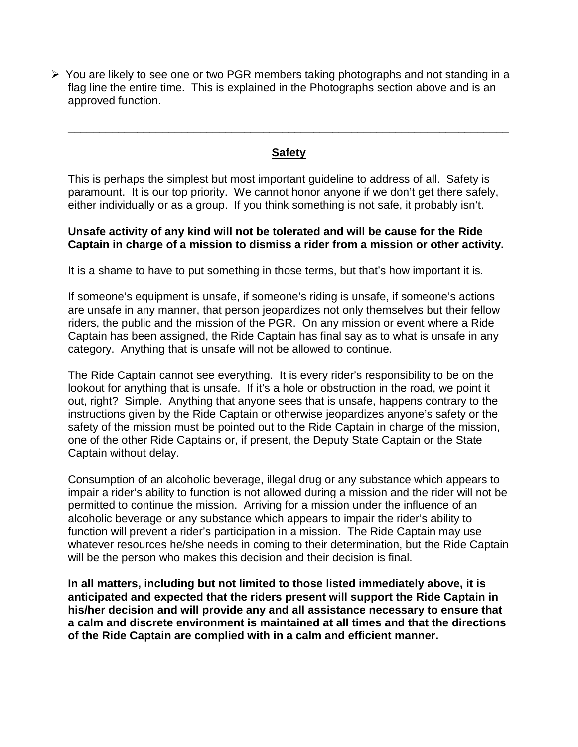$\triangleright$  You are likely to see one or two PGR members taking photographs and not standing in a flag line the entire time. This is explained in the Photographs section above and is an approved function.

### **Safety**

\_\_\_\_\_\_\_\_\_\_\_\_\_\_\_\_\_\_\_\_\_\_\_\_\_\_\_\_\_\_\_\_\_\_\_\_\_\_\_\_\_\_\_\_\_\_\_\_\_\_\_\_\_\_\_\_\_\_\_\_\_\_\_\_\_\_\_\_\_\_

This is perhaps the simplest but most important guideline to address of all. Safety is paramount. It is our top priority. We cannot honor anyone if we don't get there safely, either individually or as a group. If you think something is not safe, it probably isn't.

#### **Unsafe activity of any kind will not be tolerated and will be cause for the Ride Captain in charge of a mission to dismiss a rider from a mission or other activity.**

It is a shame to have to put something in those terms, but that's how important it is.

If someone's equipment is unsafe, if someone's riding is unsafe, if someone's actions are unsafe in any manner, that person jeopardizes not only themselves but their fellow riders, the public and the mission of the PGR. On any mission or event where a Ride Captain has been assigned, the Ride Captain has final say as to what is unsafe in any category. Anything that is unsafe will not be allowed to continue.

The Ride Captain cannot see everything. It is every rider's responsibility to be on the lookout for anything that is unsafe. If it's a hole or obstruction in the road, we point it out, right? Simple. Anything that anyone sees that is unsafe, happens contrary to the instructions given by the Ride Captain or otherwise jeopardizes anyone's safety or the safety of the mission must be pointed out to the Ride Captain in charge of the mission, one of the other Ride Captains or, if present, the Deputy State Captain or the State Captain without delay.

Consumption of an alcoholic beverage, illegal drug or any substance which appears to impair a rider's ability to function is not allowed during a mission and the rider will not be permitted to continue the mission. Arriving for a mission under the influence of an alcoholic beverage or any substance which appears to impair the rider's ability to function will prevent a rider's participation in a mission. The Ride Captain may use whatever resources he/she needs in coming to their determination, but the Ride Captain will be the person who makes this decision and their decision is final.

**In all matters, including but not limited to those listed immediately above, it is anticipated and expected that the riders present will support the Ride Captain in his/her decision and will provide any and all assistance necessary to ensure that a calm and discrete environment is maintained at all times and that the directions of the Ride Captain are complied with in a calm and efficient manner.**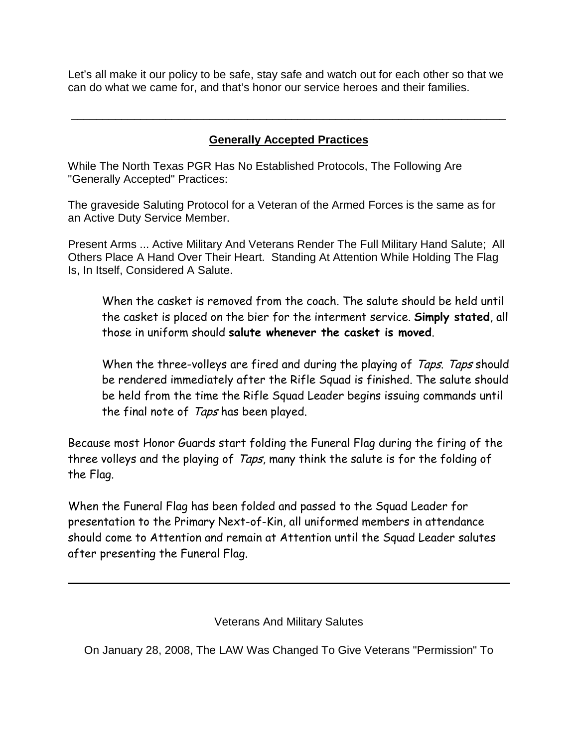Let's all make it our policy to be safe, stay safe and watch out for each other so that we can do what we came for, and that's honor our service heroes and their families.

## **Generally Accepted Practices**

\_\_\_\_\_\_\_\_\_\_\_\_\_\_\_\_\_\_\_\_\_\_\_\_\_\_\_\_\_\_\_\_\_\_\_\_\_\_\_\_\_\_\_\_\_\_\_\_\_\_\_\_\_\_\_\_\_\_\_\_\_\_\_\_\_\_\_\_\_

While The North Texas PGR Has No Established Protocols, The Following Are "Generally Accepted" Practices:

The graveside Saluting Protocol for a Veteran of the Armed Forces is the same as for an Active Duty Service Member.

Present Arms ... Active Military And Veterans Render The Full Military Hand Salute; All Others Place A Hand Over Their Heart. Standing At Attention While Holding The Flag Is, In Itself, Considered A Salute.

When the casket is removed from the coach. The salute should be held until the casket is placed on the bier for the interment service. **Simply stated**, all those in uniform should **salute whenever the casket is moved**.

When the three-volleys are fired and during the playing of Taps. Taps should be rendered immediately after the Rifle Squad is finished. The salute should be held from the time the Rifle Squad Leader begins issuing commands until the final note of Taps has been played.

Because most Honor Guards start folding the Funeral Flag during the firing of the three volleys and the playing of Taps, many think the salute is for the folding of the Flag.

When the Funeral Flag has been folded and passed to the Squad Leader for presentation to the Primary Next-of-Kin, all uniformed members in attendance should come to Attention and remain at Attention until the Squad Leader salutes after presenting the Funeral Flag.

Veterans And Military Salutes

On January 28, 2008, The LAW Was Changed To Give Veterans "Permission" To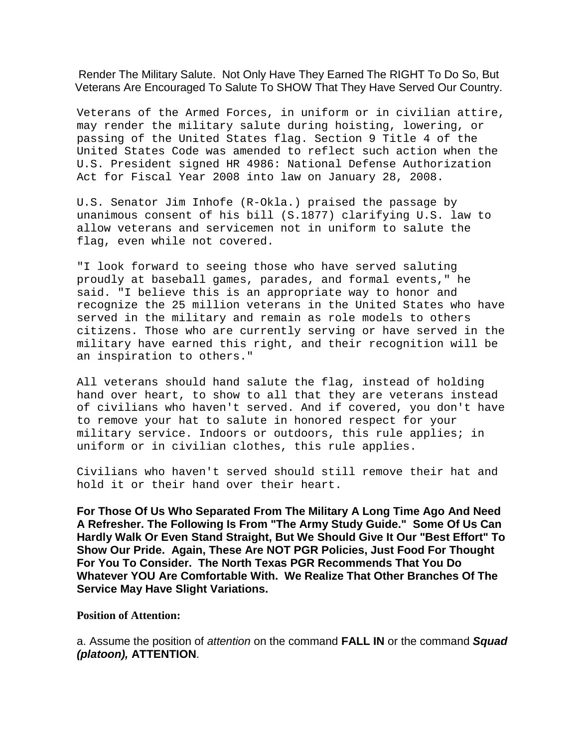Render The Military Salute. Not Only Have They Earned The RIGHT To Do So, But Veterans Are Encouraged To Salute To SHOW That They Have Served Our Country.

Veterans of the Armed Forces, in uniform or in civilian attire, may render the military salute during hoisting, lowering, or passing of the United States flag. Section 9 Title 4 of the United States Code was amended to reflect such action when the U.S. President signed HR 4986: National Defense Authorization Act for Fiscal Year 2008 into law on January 28, 2008.

U.S. Senator Jim Inhofe (R-Okla.) praised the passage by unanimous consent of his bill (S.1877) clarifying U.S. law to allow veterans and servicemen not in uniform to salute the flag, even while not covered.

"I look forward to seeing those who have served saluting proudly at baseball games, parades, and formal events," he said. "I believe this is an appropriate way to honor and recognize the 25 million veterans in the United States who have served in the military and remain as role models to others citizens. Those who are currently serving or have served in the military have earned this right, and their recognition will be an inspiration to others."

All veterans should hand salute the flag, instead of holding hand over heart, to show to all that they are veterans instead of civilians who haven't served. And if covered, you don't have to remove your hat to salute in honored respect for your military service. Indoors or outdoors, this rule applies; in uniform or in civilian clothes, this rule applies.

Civilians who haven't served should still remove their hat and hold it or their hand over their heart.

**For Those Of Us Who Separated From The Military A Long Time Ago And Need A Refresher. The Following Is From "The Army Study Guide." Some Of Us Can Hardly Walk Or Even Stand Straight, But We Should Give It Our "Best Effort" To Show Our Pride. Again, These Are NOT PGR Policies, Just Food For Thought For You To Consider. The North Texas PGR Recommends That You Do Whatever YOU Are Comfortable With. We Realize That Other Branches Of The Service May Have Slight Variations.**

**Position of Attention:**

a. Assume the position of *attention* on the command **FALL IN** or the command *Squad (platoon),* **ATTENTION**.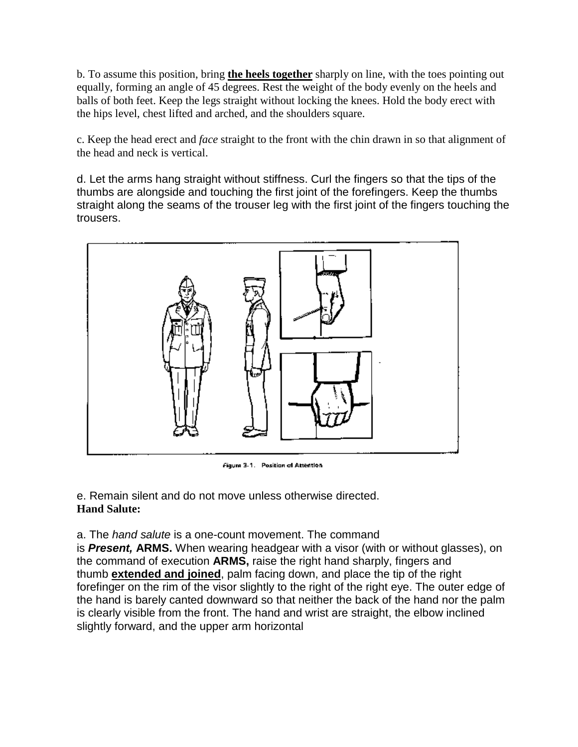b. To assume this position, bring **the heels together** sharply on line, with the toes pointing out equally, forming an angle of 45 degrees. Rest the weight of the body evenly on the heels and balls of both feet. Keep the legs straight without locking the knees. Hold the body erect with the hips level, chest lifted and arched, and the shoulders square.

c. Keep the head erect and *face* straight to the front with the chin drawn in so that alignment of the head and neck is vertical.

d. Let the arms hang straight without stiffness. Curl the fingers so that the tips of the thumbs are alongside and touching the first joint of the forefingers. Keep the thumbs straight along the seams of the trouser leg with the first joint of the fingers touching the trousers.



Figure 3-1. Position of Attention

e. Remain silent and do not move unless otherwise directed. **Hand Salute:**

a. The *hand salute* is a one-count movement. The command

is *Present,* **ARMS.** When wearing headgear with a visor (with or without glasses), on the command of execution **ARMS,** raise the right hand sharply, fingers and thumb **extended and joined**, palm facing down, and place the tip of the right forefinger on the rim of the visor slightly to the right of the right eye. The outer edge of the hand is barely canted downward so that neither the back of the hand nor the palm is clearly visible from the front. The hand and wrist are straight, the elbow inclined slightly forward, and the upper arm horizontal